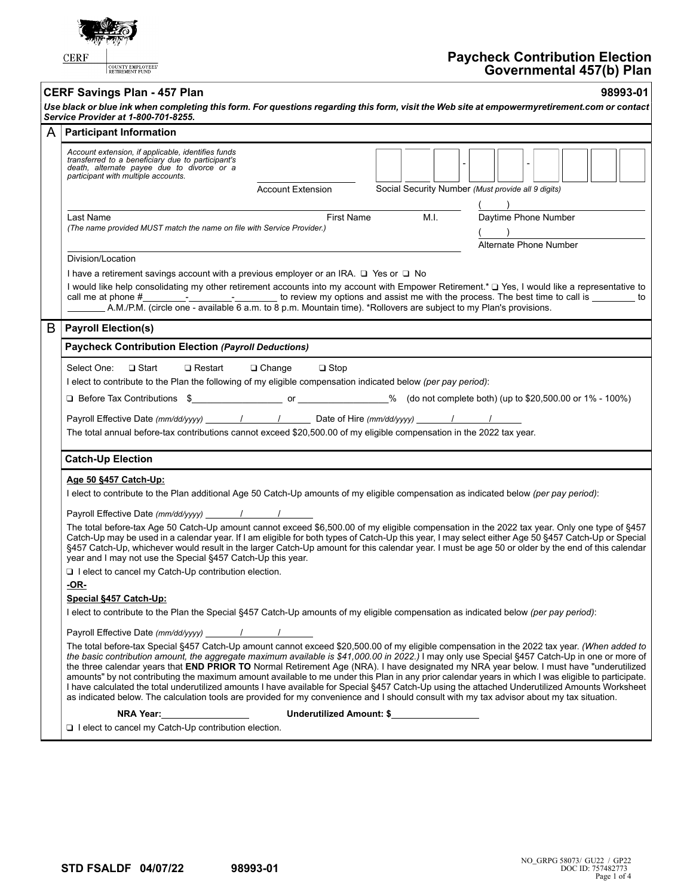| <b>Paycheck Contribution Election</b><br><b>CERF</b><br>COUNTY EMPLOYEES'<br>Governmental 457(b) Plan                                                                                                                                                                                                                                                                                                                                                                                                                                                                                                                                                                                                                                                                                                                                                                                                                                          |  |  |  |  |  |
|------------------------------------------------------------------------------------------------------------------------------------------------------------------------------------------------------------------------------------------------------------------------------------------------------------------------------------------------------------------------------------------------------------------------------------------------------------------------------------------------------------------------------------------------------------------------------------------------------------------------------------------------------------------------------------------------------------------------------------------------------------------------------------------------------------------------------------------------------------------------------------------------------------------------------------------------|--|--|--|--|--|
| 98993-01<br><b>CERF Savings Plan - 457 Plan</b><br>Use black or blue ink when completing this form. For questions regarding this form, visit the Web site at empowermyretirement.com or contact<br>Service Provider at 1-800-701-8255.                                                                                                                                                                                                                                                                                                                                                                                                                                                                                                                                                                                                                                                                                                         |  |  |  |  |  |
| A<br><b>Participant Information</b>                                                                                                                                                                                                                                                                                                                                                                                                                                                                                                                                                                                                                                                                                                                                                                                                                                                                                                            |  |  |  |  |  |
| Account extension, if applicable, identifies funds<br>transferred to a beneficiary due to participant's<br>death, alternate payee due to divorce or a<br>participant with multiple accounts.<br>Social Security Number (Must provide all 9 digits)<br><b>Account Extension</b>                                                                                                                                                                                                                                                                                                                                                                                                                                                                                                                                                                                                                                                                 |  |  |  |  |  |
| Daytime Phone Number<br>M.I.<br>First Name<br>Last Name<br>(The name provided MUST match the name on file with Service Provider.)<br>Alternate Phone Number                                                                                                                                                                                                                                                                                                                                                                                                                                                                                                                                                                                                                                                                                                                                                                                    |  |  |  |  |  |
| Division/Location<br>I have a retirement savings account with a previous employer or an IRA. $\Box$ Yes or $\Box$ No<br>I would like help consolidating my other retirement accounts into my account with Empower Retirement.* □ Yes, I would like a representative to<br>call me at phone #<br>A.M./P.M. (circle one - available 6 a.m. to 8 p.m. Mountain time). *Rollovers are subject to my Plan's provisions.                                                                                                                                                                                                                                                                                                                                                                                                                                                                                                                             |  |  |  |  |  |
| B<br><b>Payroll Election(s)</b>                                                                                                                                                                                                                                                                                                                                                                                                                                                                                                                                                                                                                                                                                                                                                                                                                                                                                                                |  |  |  |  |  |
| <b>Paycheck Contribution Election (Payroll Deductions)</b>                                                                                                                                                                                                                                                                                                                                                                                                                                                                                                                                                                                                                                                                                                                                                                                                                                                                                     |  |  |  |  |  |
| Select One:<br>$\Box$ Start<br>$\Box$ Restart<br>$\Box$ Stop<br>$\Box$ Change<br>I elect to contribute to the Plan the following of my eligible compensation indicated below (per pay period):<br>Payroll Effective Date (mm/dd/yyyy) 11 1 1 Date of Hire (mm/dd/yyyy) 11 1<br>The total annual before-tax contributions cannot exceed \$20,500.00 of my eligible compensation in the 2022 tax year.                                                                                                                                                                                                                                                                                                                                                                                                                                                                                                                                           |  |  |  |  |  |
| <b>Catch-Up Election</b>                                                                                                                                                                                                                                                                                                                                                                                                                                                                                                                                                                                                                                                                                                                                                                                                                                                                                                                       |  |  |  |  |  |
| Age 50 §457 Catch-Up:<br>I elect to contribute to the Plan additional Age 50 Catch-Up amounts of my eligible compensation as indicated below (per pay period):<br>Payroll Effective Date (mm/dd/yyyy)<br>The total before-tax Age 50 Catch-Up amount cannot exceed \$6,500.00 of my eligible compensation in the 2022 tax year. Only one type of §457<br>Catch-Up may be used in a calendar year. If I am eligible for both types of Catch-Up this year, I may select either Age 50 §457 Catch-Up or Special<br>§457 Catch-Up, whichever would result in the larger Catch-Up amount for this calendar year. I must be age 50 or older by the end of this calendar<br>year and I may not use the Special §457 Catch-Up this year.<br>I lelect to cancel my Catch-Up contribution election.                                                                                                                                                      |  |  |  |  |  |
| <u>-OR-</u><br>Special §457 Catch-Up:<br>I elect to contribute to the Plan the Special §457 Catch-Up amounts of my eligible compensation as indicated below (per pay period):                                                                                                                                                                                                                                                                                                                                                                                                                                                                                                                                                                                                                                                                                                                                                                  |  |  |  |  |  |
| Payroll Effective Date (mm/dd/yyyy) / / /<br>The total before-tax Special §457 Catch-Up amount cannot exceed \$20,500.00 of my eligible compensation in the 2022 tax year. (When added to<br>the basic contribution amount, the aggregate maximum available is \$41,000.00 in 2022.) I may only use Special §457 Catch-Up in one or more of<br>the three calendar years that END PRIOR TO Normal Retirement Age (NRA). I have designated my NRA year below. I must have "underutilized<br>amounts" by not contributing the maximum amount available to me under this Plan in any prior calendar years in which I was eligible to participate.<br>I have calculated the total underutilized amounts I have available for Special §457 Catch-Up using the attached Underutilized Amounts Worksheet<br>as indicated below. The calculation tools are provided for my convenience and I should consult with my tax advisor about my tax situation. |  |  |  |  |  |
| NRA Year:<br>Underutilized Amount: \$<br>I lelect to cancel my Catch-Up contribution election.                                                                                                                                                                                                                                                                                                                                                                                                                                                                                                                                                                                                                                                                                                                                                                                                                                                 |  |  |  |  |  |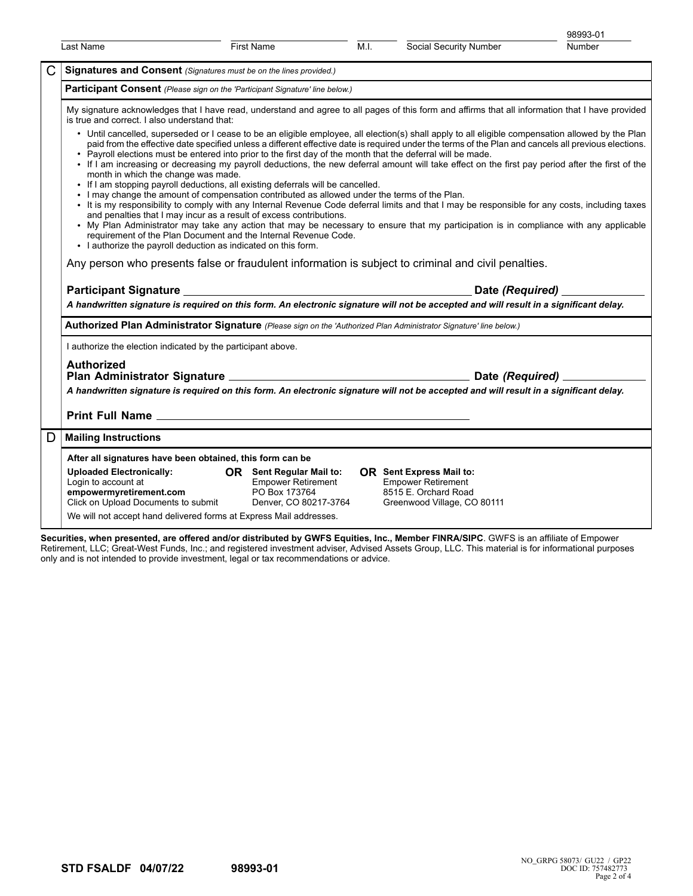|   |                                                                                                                                                                                                                                                                                                                                                                                                                                                                                                                                                                                                                                                                                                                                                                                    |                                                                                                 |      |                                                                                                                     | 98993-01 |  |  |  |
|---|------------------------------------------------------------------------------------------------------------------------------------------------------------------------------------------------------------------------------------------------------------------------------------------------------------------------------------------------------------------------------------------------------------------------------------------------------------------------------------------------------------------------------------------------------------------------------------------------------------------------------------------------------------------------------------------------------------------------------------------------------------------------------------|-------------------------------------------------------------------------------------------------|------|---------------------------------------------------------------------------------------------------------------------|----------|--|--|--|
|   | Last Name                                                                                                                                                                                                                                                                                                                                                                                                                                                                                                                                                                                                                                                                                                                                                                          | <b>First Name</b>                                                                               | M.I. | Social Security Number                                                                                              | Number   |  |  |  |
| С |                                                                                                                                                                                                                                                                                                                                                                                                                                                                                                                                                                                                                                                                                                                                                                                    | Signatures and Consent (Signatures must be on the lines provided.)                              |      |                                                                                                                     |          |  |  |  |
|   | Participant Consent (Please sign on the 'Participant Signature' line below.)                                                                                                                                                                                                                                                                                                                                                                                                                                                                                                                                                                                                                                                                                                       |                                                                                                 |      |                                                                                                                     |          |  |  |  |
|   | My signature acknowledges that I have read, understand and agree to all pages of this form and affirms that all information that I have provided<br>is true and correct. I also understand that:<br>• Until cancelled, superseded or I cease to be an eligible employee, all election(s) shall apply to all eligible compensation allowed by the Plan<br>paid from the effective date specified unless a different effective date is required under the terms of the Plan and cancels all previous elections.<br>. Payroll elections must be entered into prior to the first day of the month that the deferral will be made.<br>• If I am increasing or decreasing my payroll deductions, the new deferral amount will take effect on the first pay period after the first of the |                                                                                                 |      |                                                                                                                     |          |  |  |  |
|   | month in which the change was made.<br>• If I am stopping payroll deductions, all existing deferrals will be cancelled.<br>. I may change the amount of compensation contributed as allowed under the terms of the Plan.<br>. It is my responsibility to comply with any Internal Revenue Code deferral limits and that I may be responsible for any costs, including taxes<br>and penalties that I may incur as a result of excess contributions.<br>• My Plan Administrator may take any action that may be necessary to ensure that my participation is in compliance with any applicable<br>requirement of the Plan Document and the Internal Revenue Code.<br>• I authorize the payroll deduction as indicated on this form.                                                  |                                                                                                 |      |                                                                                                                     |          |  |  |  |
|   | Any person who presents false or fraudulent information is subject to criminal and civil penalties.                                                                                                                                                                                                                                                                                                                                                                                                                                                                                                                                                                                                                                                                                |                                                                                                 |      |                                                                                                                     |          |  |  |  |
|   |                                                                                                                                                                                                                                                                                                                                                                                                                                                                                                                                                                                                                                                                                                                                                                                    |                                                                                                 |      |                                                                                                                     |          |  |  |  |
|   |                                                                                                                                                                                                                                                                                                                                                                                                                                                                                                                                                                                                                                                                                                                                                                                    |                                                                                                 |      |                                                                                                                     |          |  |  |  |
|   | A handwritten signature is required on this form. An electronic signature will not be accepted and will result in a significant delay.                                                                                                                                                                                                                                                                                                                                                                                                                                                                                                                                                                                                                                             |                                                                                                 |      | Date (Required)                                                                                                     |          |  |  |  |
|   |                                                                                                                                                                                                                                                                                                                                                                                                                                                                                                                                                                                                                                                                                                                                                                                    |                                                                                                 |      |                                                                                                                     |          |  |  |  |
|   | Authorized Plan Administrator Signature (Please sign on the 'Authorized Plan Administrator Signature' line below.)                                                                                                                                                                                                                                                                                                                                                                                                                                                                                                                                                                                                                                                                 |                                                                                                 |      |                                                                                                                     |          |  |  |  |
|   | I authorize the election indicated by the participant above.<br><b>Authorized</b>                                                                                                                                                                                                                                                                                                                                                                                                                                                                                                                                                                                                                                                                                                  |                                                                                                 |      |                                                                                                                     |          |  |  |  |
|   |                                                                                                                                                                                                                                                                                                                                                                                                                                                                                                                                                                                                                                                                                                                                                                                    |                                                                                                 |      | Date (Required) ____                                                                                                |          |  |  |  |
|   | A handwritten signature is required on this form. An electronic signature will not be accepted and will result in a significant delay.                                                                                                                                                                                                                                                                                                                                                                                                                                                                                                                                                                                                                                             |                                                                                                 |      |                                                                                                                     |          |  |  |  |
|   |                                                                                                                                                                                                                                                                                                                                                                                                                                                                                                                                                                                                                                                                                                                                                                                    |                                                                                                 |      |                                                                                                                     |          |  |  |  |
| D | <b>Mailing Instructions</b>                                                                                                                                                                                                                                                                                                                                                                                                                                                                                                                                                                                                                                                                                                                                                        |                                                                                                 |      |                                                                                                                     |          |  |  |  |
|   | After all signatures have been obtained, this form can be                                                                                                                                                                                                                                                                                                                                                                                                                                                                                                                                                                                                                                                                                                                          |                                                                                                 |      |                                                                                                                     |          |  |  |  |
|   | <b>Uploaded Electronically:</b><br>Login to account at<br>empowermyretirement.com<br>Click on Upload Documents to submit<br>We will not accept hand delivered forms at Express Mail addresses.                                                                                                                                                                                                                                                                                                                                                                                                                                                                                                                                                                                     | OR Sent Regular Mail to:<br><b>Empower Retirement</b><br>PO Box 173764<br>Denver, CO 80217-3764 |      | <b>OR</b> Sent Express Mail to:<br><b>Empower Retirement</b><br>8515 E. Orchard Road<br>Greenwood Village, CO 80111 |          |  |  |  |

**Securities, when presented, are offered and/or distributed by GWFS Equities, Inc., Member FINRA/SIPC**. GWFS is an affiliate of Empower Retirement, LLC; Great-West Funds, Inc.; and registered investment adviser, Advised Assets Group, LLC. This material is for informational purposes only and is not intended to provide investment, legal or tax recommendations or advice.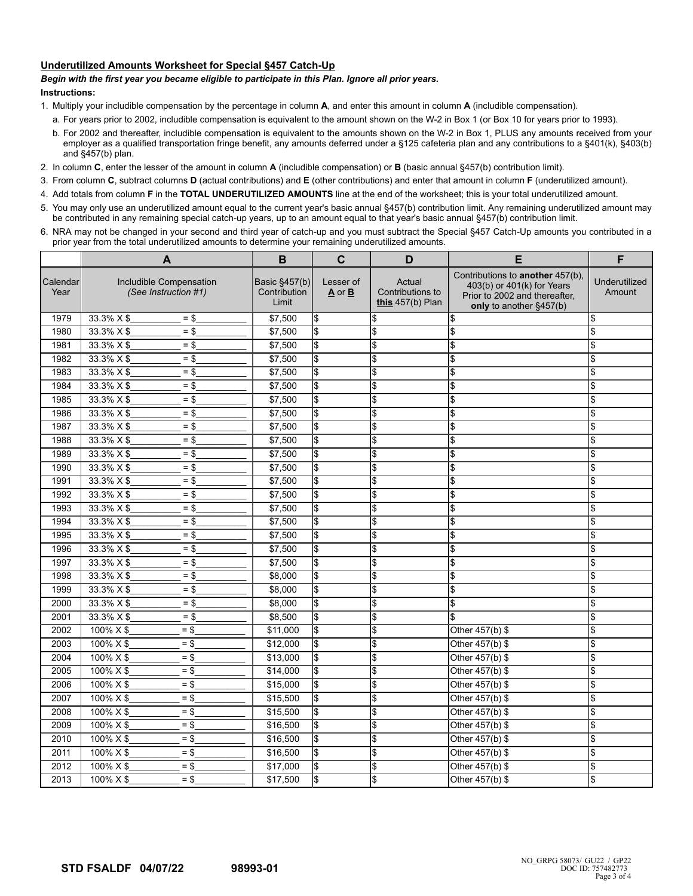## **Underutilized Amounts Worksheet for Special §457 Catch-Up**

## *Begin with the first year you became eligible to participate in this Plan. Ignore all prior years.*

## **Instructions:**

- 1. Multiply your includible compensation by the percentage in column **A**, and enter this amount in column **A** (includible compensation).
	- a. For years prior to 2002, includible compensation is equivalent to the amount shown on the W-2 in Box 1 (or Box 10 for years prior to 1993).
	- b. For 2002 and thereafter, includible compensation is equivalent to the amounts shown on the W-2 in Box 1, PLUS any amounts received from your employer as a qualified transportation fringe benefit, any amounts deferred under a §125 cafeteria plan and any contributions to a §401(k), §403(b) and §457(b) plan.
- 2. In column **C**, enter the lesser of the amount in column **A** (includible compensation) or **B** (basic annual §457(b) contribution limit).
- 3. From column **C**, subtract columns **D** (actual contributions) and **E** (other contributions) and enter that amount in column **F** (underutilized amount).
- 4. Add totals from column **F** in the **TOTAL UNDERUTILIZED AMOUNTS** line at the end of the worksheet; this is your total underutilized amount.
- 5. You may only use an underutilized amount equal to the current year's basic annual §457(b) contribution limit. Any remaining underutilized amount may be contributed in any remaining special catch-up years, up to an amount equal to that year's basic annual §457(b) contribution limit.
- 6. NRA may not be changed in your second and third year of catch-up and you must subtract the Special §457 Catch-Up amounts you contributed in a prior year from the total underutilized amounts to determine your remaining underutilized amounts.

|                  | A                                               |        | B                                      | $\mathbf c$               | D                                                | E                                                                                                                          | F                       |
|------------------|-------------------------------------------------|--------|----------------------------------------|---------------------------|--------------------------------------------------|----------------------------------------------------------------------------------------------------------------------------|-------------------------|
| Calendar<br>Year | Includible Compensation<br>(See Instruction #1) |        | Basic §457(b)<br>Contribution<br>Limit | Lesser of<br>A or B       | Actual<br>Contributions to<br>this $457(b)$ Plan | Contributions to another 457(b),<br>403(b) or 401(k) for Years<br>Prior to 2002 and thereafter.<br>only to another §457(b) | Underutilized<br>Amount |
| 1979             | 33.3% X \$                                      | $=$ \$ | \$7,500                                | l\$                       | \$                                               | \$                                                                                                                         | \$                      |
| 1980             | $33.3\% \times $$                               | $=$ \$ | \$7,500                                | l\$                       | \$                                               | \$                                                                                                                         | $\frac{1}{2}$           |
| 1981             | 33.3% X \$                                      | $= $$  | \$7,500                                | \$                        | \$                                               | \$                                                                                                                         | \$                      |
| 1982             | 33.3% X \$                                      | $=$ \$ | \$7,500                                | $\frac{1}{2}$             | \$                                               | \$                                                                                                                         | \$                      |
| 1983             | $33.3\% \times $$                               | $=$ \$ | \$7,500                                | $\frac{1}{2}$             | <sup>\$</sup>                                    | \$                                                                                                                         | \$                      |
| 1984             | $33.3\% \times $$                               | $=$ \$ | \$7,500                                | \$                        | \$                                               | \$                                                                                                                         | $\frac{1}{2}$           |
| 1985             | $33.3\% \times $$                               | $=$ \$ | \$7,500                                | \$                        | \$                                               | \$                                                                                                                         | \$                      |
| 1986             | 33.3% X \$                                      | $=$ \$ | \$7,500                                | $\boldsymbol{\mathsf{S}}$ | \$                                               | \$                                                                                                                         | \$                      |
| 1987             | 33.3% X \$                                      | $=$ \$ | \$7,500                                | l\$                       | \$                                               | \$                                                                                                                         | \$                      |
| 1988             | $33.3\% \times $$                               | $=$ \$ | \$7,500                                | l\$                       | \$                                               | $\overline{\mathcal{S}}$                                                                                                   | $\frac{1}{2}$           |
| 1989             | $33.3\% \times $$                               | $=$ \$ | \$7,500                                | l\$                       | \$                                               | \$                                                                                                                         | \$                      |
| 1990             | 33.3% X \$                                      | $=$ \$ | \$7,500                                | <b>S</b>                  | \$                                               | \$                                                                                                                         | \$                      |
| 1991             | 33.3% X \$                                      | $=$ \$ | \$7,500                                | \$                        | \$                                               | \$                                                                                                                         | $\frac{1}{2}$           |
| 1992             | 33.3% X \$                                      | $= $$  | \$7,500                                | \$                        | \$                                               | Ι\$                                                                                                                        | \$                      |
| 1993             | $33.3\% \times $$                               | $=$ \$ | \$7,500                                | l\$                       | $\overline{\mathcal{E}}$                         | \$                                                                                                                         | \$                      |
| 1994             | $33.3\% \times $$                               | $=$ \$ | \$7,500                                | l\$                       | \$                                               | \$                                                                                                                         | s                       |
| 1995             | 33.3% X \$                                      | $=$ \$ | \$7,500                                | $\boldsymbol{\mathsf{S}}$ | \$                                               | \$                                                                                                                         | $\frac{1}{2}$           |
| 1996             | 33.3% X \$                                      | $=$ \$ | \$7,500                                | l\$                       | \$                                               | \$                                                                                                                         | \$                      |
| 1997             | 33.3% X \$                                      | $=$ \$ | \$7,500                                | l\$                       | \$                                               | \$                                                                                                                         | \$                      |
| 1998             | 33.3% X \$                                      | $= $$  | \$8,000                                | l\$                       | \$                                               | \$                                                                                                                         | \$                      |
| 1999             | 33.3% X \$                                      | $=$ \$ | \$8,000                                | <b>S</b>                  | \$                                               | \$                                                                                                                         | \$                      |
| 2000             | 33.3% X \$                                      | $=$ \$ | \$8,000                                | l\$                       | \$                                               | \$                                                                                                                         | \$                      |
| 2001             | 33.3% X \$                                      | $=$ \$ | \$8,500                                | l\$                       | \$                                               | \$                                                                                                                         | $\frac{1}{2}$           |
| 2002             | $100\% \times $$                                | $= $$  | \$11,000                               | \$                        | \$                                               | Other 457(b) \$                                                                                                            | \$                      |
| 2003             | $100\% \times $$                                | $= $$  | \$12,000                               | \$                        | \$                                               | Other $457(b)$ \$                                                                                                          | \$                      |
| 2004             | $100\% \times $$                                | $=$ \$ | \$13,000                               | l\$                       | \$                                               | Other 457(b) \$                                                                                                            | \$                      |
| 2005             | $100\% \times $$                                | $=$ \$ | \$14,000                               | $\overline{\mathcal{S}}$  | \$                                               | Other 457(b) \$                                                                                                            | $\frac{1}{2}$           |
| 2006             | 100% X \$                                       | $=$ \$ | \$15,000                               | l\$                       | \$                                               | Other 457(b) \$                                                                                                            | $\frac{1}{2}$           |
| 2007             | 100% X \$                                       | $= $$  | \$15,500                               | <b>S</b>                  | \$                                               | Other 457(b) \$                                                                                                            | \$                      |
| 2008             | 100% X \$                                       | $=$ \$ | \$15,500                               | <b>S</b>                  | \$                                               | Other 457(b) \$                                                                                                            | \$                      |
| 2009             | $100\% \times $$                                | $=$ \$ | \$16,500                               | l\$                       | \$                                               | Other 457(b) \$                                                                                                            | \$                      |
| 2010             | 100% X \$                                       | $=$ \$ | \$16,500                               | l\$                       | \$                                               | Other 457(b) \$                                                                                                            | <sup>\$</sup>           |
| 2011             | $100\% \times $$                                | $= $$  | \$16,500                               | \$                        | \$                                               | Other 457(b) \$                                                                                                            | \$                      |
| 2012             | 100% X \$                                       | $= $$  | \$17,000                               | \$                        | \$                                               | Other 457(b) \$                                                                                                            | \$                      |
| 2013             | 100% X \$                                       | $=$ \$ | \$17,500                               | \$                        | \$                                               | Other 457(b) \$                                                                                                            | \$                      |